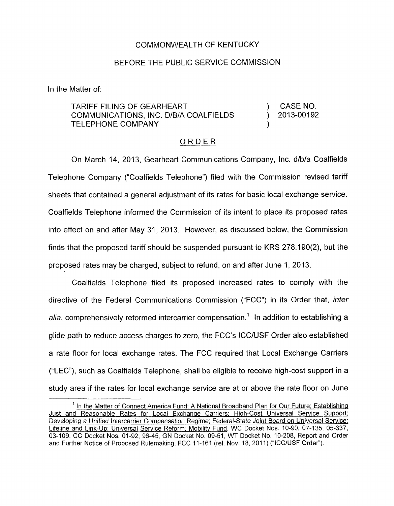## COMMONWEALTH OF KENTUCKY

## BEFORE THE PUBLIC SERVICE COMMISSION

In the Matter of:

TARIFF FILING OF GEARHEART (AND TARIFF FILING OF GEARHEART TELEPHONE COMPANY ) COMMUNICATIONS, INC. D/B/A COALFIELDS ) 2013-00192

## ORDER

On March 14, 2013, Gearheart Communications Company, Inc. d/b/a Coalfields Telephone Company ("Coalfields Telephone") filed with the Commission revised tariff sheets that contained a general adjustment of its rates for basic local exchange service. Coalfields 'Telephone informed the Commission of its intent to place its proposed rates into effect on and after May 31, 2013. However, as discussed below, the Commission finds that the proposed tariff should be suspended pursuant to KRS 278.190(2), but the proposed rates may be charged, subject to refund, on and after June 1, 2013.

Coalfields Telephone filed its proposed increased rates to comply with the directive of the Federal Communications Commission ("FCC") in its Order that, *infer alia,* comprehensively reformed intercarrier compensation.' In addition to establishing a glide path to reduce access charges to zero, the FCC's ICC/USF Order also established a rate floor for local exchange rates. The FCC required that Local Exchange Carriers ("LEC"), such as Coalfields Telephone, shall be eligible to receive high-cost support in a study area if the rates for local exchange service are at or above the rate floor on June

<sup>&</sup>lt;sup>1</sup> In the Matter of Connect America Fund; A National Broadband Plan for Our Future; Establishing Just and Reasonable Rates for Local Exchange Carriers; High-Cost Universal Service Support; Developing a Unified lntercarrier Compensation Regime; Federal-State Joint Board on Universal Service; Lifeline and Link-Up; Universal Service Reform: Mobility Fund, WC Docket Nos. 10-90, 07-135, 05-337, 03-109, CC Docket Nos. 01-92, 96-45, GN Docket No, 09-51, WT Docket No. 10-208, Report and Order and Further Notice of Proposed Rulemaking, FCC 11-161 (rel. Nov. 18, 2011) ("ICC/USF Order").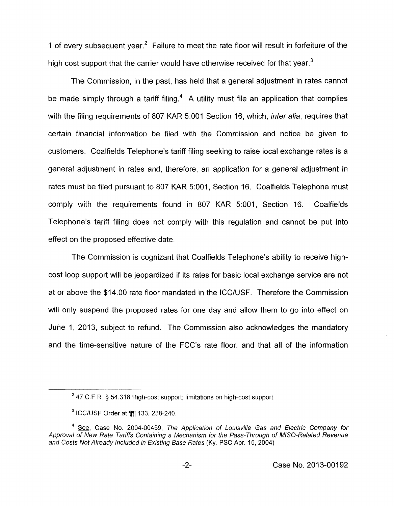1 of every subsequent year.<sup>2</sup> Failure to meet the rate floor will result in forfeiture of the high cost support that the carrier would have otherwise received for that year. $3$ 

The Commission, in the past, has held that a general adjustment in rates cannot be made simply through a tariff filing.<sup>4</sup> A utility must file an application that complies with the filing requirements of 807 KAR 5:OOl Section 16, which, *inter alia,* requires that certain financial information be filed with the Commission and notice be given to customers. Coalfields Telephone's tariff filing seeking to raise local exchange rates is a general adjustment in rates and, therefore, an application for a general adjustment in rates must be filed pursuant to 807 KAR 5:001, Section 16. Coalfields Telephone must comply with the requirements found in 807 KAR 5:001, Section 16. Coalfields Telephone's tariff filing does not comply with this regulation and cannot be put into effect on the proposed effective date.

The Commission is cognizant that Coalfields Telephone's ability to receive highcost loop support will be jeopardized if its rates for basic local exchange service are not at or above the \$14.00 rate floor mandated in the ICC/USF. Therefore the Commission will only suspend the proposed rates for one day and allow them to go into effect on June 1, 2013, subject to refund. The Commission also acknowledges the mandatory and the time-sensitive nature of the FCC's rate floor, and that all of the information

<sup>47</sup> C F.R. § 54.318 High-cost support; limitations on high-cost support. **<sup>2</sup>**

 $3$  ICC/USF Order at  $\P$  $\P$ 133, 238-240.

<sup>&</sup>lt;sup>4</sup> See, Case No. 2004-00459, The Application of Louisville Gas and Electric Company for Approval of New Rate Tariffs Containing a Mechanism for the Pass-Through of MISO-Related Revenue *and Cosfs Not Already Included in Existing Base Rates* (Ky. PSC Apr. 15, 2004).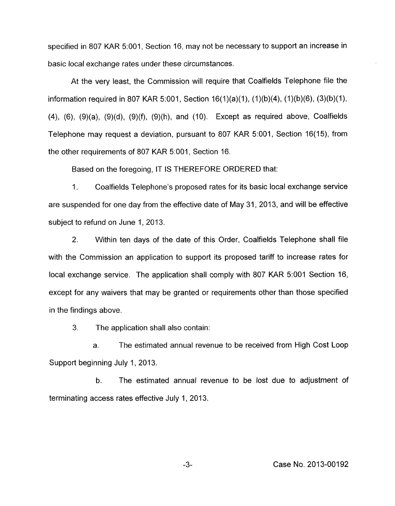specified in 807 KAR 5:001, Section 16, may not be necessary to support an increase in basic local exchange rates under these circumstances.

At the very least, the Commission will require that Coalfields Telephone file the information required in 807 KAR 5:001, Section 16(1)(a)(1), (1)(b)(4), (1)(b)(6), (3)(b)(1), (4), (6), (9)(a), (9)(d), (9)(f), (9)(h), and (IO). Except as required above, Coalfields Telephone may request a deviation, pursuant to 807 KAR 5:001, Section 16(15), from the other requirements of 807 KAR 5:001, Section 16.

Based on the foregoing, IT IS THEREFORE ORDERED that:

1. Coalfields Telephone's proposed rates for its basic local exchange service are suspended for one day from the effective date of May 31, 2013, and will be effective subject to refund on June 1, 2013.

2. Within ten days of the date of this Order, Coalfields Telephone shall file with the Commission an application to support its proposed tariff to increase rates for local exchange service. The application shall comply with 807 KAR 5:001 Section 16, except for any waivers that may be granted or requirements other than those specified in the findings above.

3. The application shall also contain:

a. The estimated annual revenue to be received from High Cost Loop Support beginning July 1, 2013.

b. The estimated annual revenue to be lost due to adjustment of terminating access rates effective July 1, 2013.

-3- Case No. 2013-00192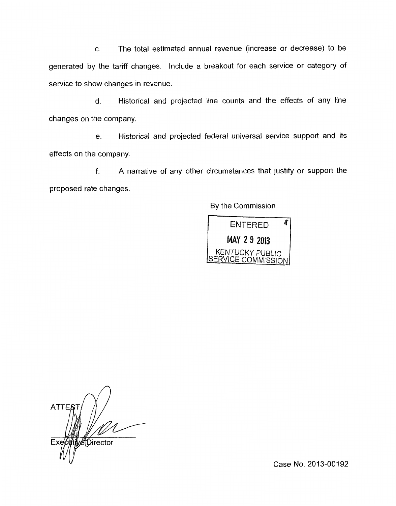c. The total estimated annual revenue (increase or decrease) to be generated by the tariff changes. Include a breakout for each service or category of service to show changes in revenue

d. Historical and projected line counts and the effects of any line changes on the company

e. Historical and projected federal universal service support and its effects on the company.

f. A narrative of any other circumstances that justify or support the proposed rate changes.

By the Commission



**ATTES** Director Fχ

Case No. 2013-00192